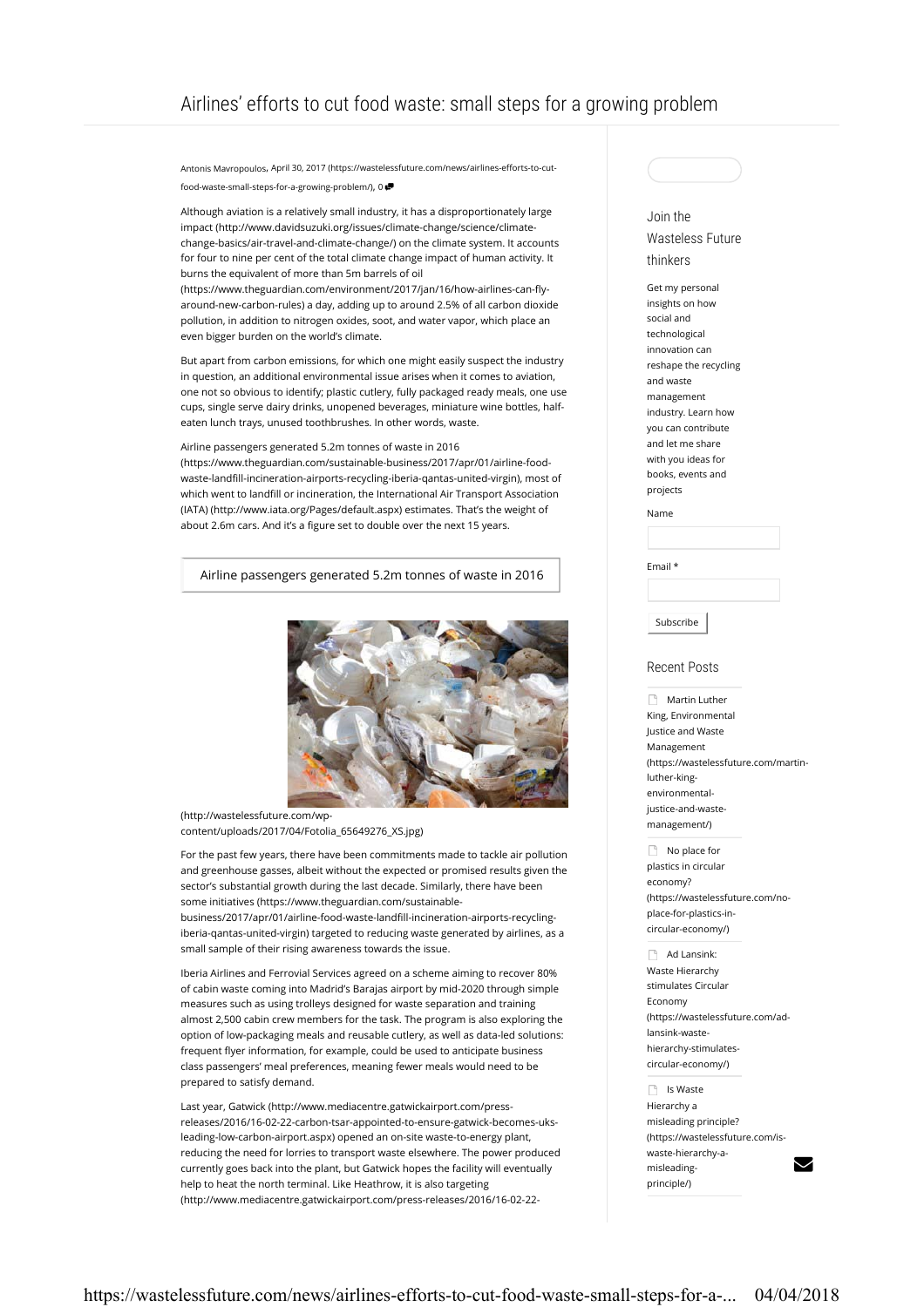Antonis Mavropoulos, April 30, 2017 (https://wastelessfuture.com/news/airlines-efforts-to-cutfood-waste-small-steps-for-a-growing-problem/), 0

Although aviation is a relatively small industry, it has a disproportionately large impact (http://www.davidsuzuki.org/issues/climate-change/science/climatechange-basics/air-travel-and-climate-change/) on the climate system. It accounts for four to nine per cent of the total climate change impact of human activity. It burns the equivalent of more than 5m barrels of oil

(https://www.theguardian.com/environment/2017/jan/16/how-airlines-can-flyaround-new-carbon-rules) a day, adding up to around 2.5% of all carbon dioxide pollution, in addition to nitrogen oxides, soot, and water vapor, which place an even bigger burden on the world's climate.

But apart from carbon emissions, for which one might easily suspect the industry in question, an additional environmental issue arises when it comes to aviation, one not so obvious to identify; plastic cutlery, fully packaged ready meals, one use cups, single serve dairy drinks, unopened beverages, miniature wine bottles, halfeaten lunch trays, unused toothbrushes. In other words, waste.

Airline passengers generated 5.2m tonnes of waste in 2016 (https://www.theguardian.com/sustainable-business/2017/apr/01/airline-foodwaste-landfill-incineration-airports-recycling-iberia-qantas-united-virgin), most of which went to landfill or incineration, the International Air Transport Association (IATA) (http://www.iata.org/Pages/default.aspx) estimates. That's the weight of about 2.6m cars. And it's a figure set to double over the next 15 years.

Airline passengers generated 5.2m tonnes of waste in 2016



(http://wastelessfuture.com/wpcontent/uploads/2017/04/Fotolia\_65649276\_XS.jpg)

For the past few years, there have been commitments made to tackle air pollution and greenhouse gasses, albeit without the expected or promised results given the sector's substantial growth during the last decade. Similarly, there have been some initiatives (https://www.theguardian.com/sustainablebusiness/2017/apr/01/airline-food-waste-landfill-incineration-airports-recyclingiberia-qantas-united-virgin) targeted to reducing waste generated by airlines, as a small sample of their rising awareness towards the issue.

Iberia Airlines and Ferrovial Services agreed on a scheme aiming to recover 80% of cabin waste coming into Madrid's Barajas airport by mid-2020 through simple measures such as using trolleys designed for waste separation and training almost 2,500 cabin crew members for the task. The program is also exploring the option of low-packaging meals and reusable cutlery, as well as data-led solutions: frequent flyer information, for example, could be used to anticipate business class passengers' meal preferences, meaning fewer meals would need to be prepared to satisfy demand.

Last year, Gatwick (http://www.mediacentre.gatwickairport.com/pressreleases/2016/16-02-22-carbon-tsar-appointed-to-ensure-gatwick-becomes-uksleading-low-carbon-airport.aspx) opened an on-site waste-to-energy plant, reducing the need for lorries to transport waste elsewhere. The power produced currently goes back into the plant, but Gatwick hopes the facility will eventually help to heat the north terminal. Like Heathrow, it is also targeting (http://www.mediacentre.gatwickairport.com/press-releases/2016/16-02-22-

## Join the

## Wasteless Future thinkers

Get my personal insights on how social and technological innovation can reshape the recycling and waste management industry. Learn how you can contribute and let me share with you ideas for books, events and projects

Name

Email \*

Subscribe

## Recent Posts

**Martin Luther** King, Environmental Justice and Waste Management (https://wastelessfuture.com/martinluther-kingenvironmentaljustice-and-wastemanagement/)

No place for plastics in circular economy? (https://wastelessfuture.com/noplace-for-plastics-incircular-economy/)

Ad Lansink: Waste Hierarchy stimulates Circular Economy (https://wastelessfuture.com/adlansink-wastehierarchy-stimulatescircular-economy/)

**In Is Waste** Hierarchy a misleading principle? (https://wastelessfuture.com/iswaste-hierarchy-amisleadingprinciple/)

Z